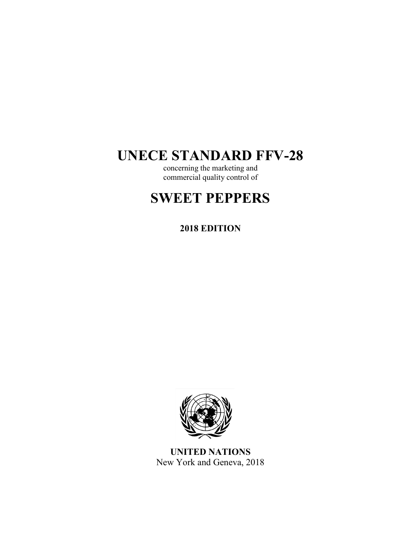# **UNECE STANDARD FFV-28**

concerning the marketing and commercial quality control of

# **SWEET PEPPERS**

# **2018 EDITION**



**UNITED NATIONS** New York and Geneva, 2018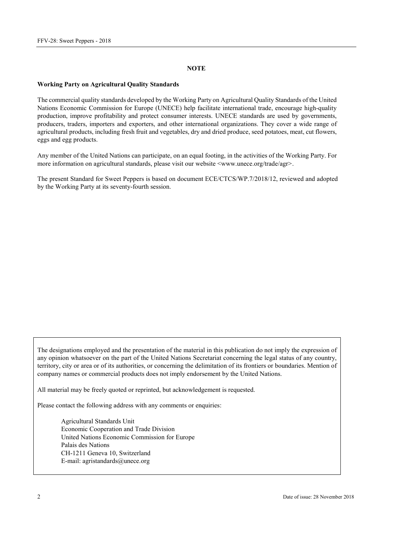#### **NOTE**

#### **Working Party on Agricultural Quality Standards**

The commercial quality standards developed by the Working Party on Agricultural Quality Standards of the United Nations Economic Commission for Europe (UNECE) help facilitate international trade, encourage high-quality production, improve profitability and protect consumer interests. UNECE standards are used by governments, producers, traders, importers and exporters, and other international organizations. They cover a wide range of agricultural products, including fresh fruit and vegetables, dry and dried produce, seed potatoes, meat, cut flowers, eggs and egg products.

Any member of the United Nations can participate, on an equal footing, in the activities of the Working Party. For more information on agricultural standards, please visit our website [<www.unece.org/trade/agr>](http://www.unece.org/trade/agr/).

The present Standard for Sweet Peppers is based on document ECE/CTCS/WP.7/2018/12, reviewed and adopted by the Working Party at its seventy-fourth session.

The designations employed and the presentation of the material in this publication do not imply the expression of any opinion whatsoever on the part of the United Nations Secretariat concerning the legal status of any country, territory, city or area or of its authorities, or concerning the delimitation of its frontiers or boundaries. Mention of company names or commercial products does not imply endorsement by the United Nations.

All material may be freely quoted or reprinted, but acknowledgement is requested.

Please contact the following address with any comments or enquiries:

Agricultural Standards Unit Economic Cooperation and Trade Division United Nations Economic Commission for Europe Palais des Nations CH-1211 Geneva 10, Switzerland E-mail: [agristandards@unece.org](mailto:agristandards@unece.org)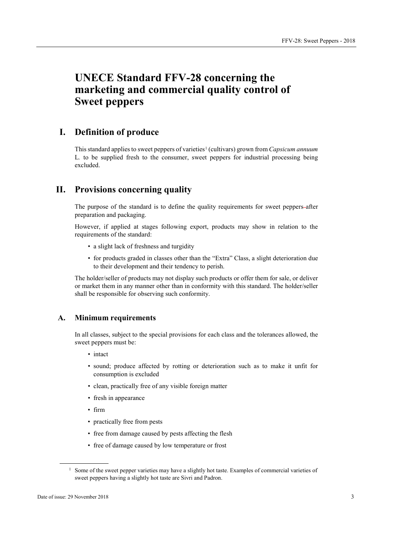# **UNECE Standard FFV-28 concerning the marketing and commercial quality control of Sweet peppers**

# **I. Definition of produce**

This standard applies to sweet peppers of varieties<sup>[1](#page-2-0)</sup> (cultivars) grown from *Capsicum annuum* L*.* to be supplied fresh to the consumer, sweet peppers for industrial processing being excluded.

# **II. Provisions concerning quality**

The purpose of the standard is to define the quality requirements for sweet peppers-after preparation and packaging.

However, if applied at stages following export, products may show in relation to the requirements of the standard:

- a slight lack of freshness and turgidity
- for products graded in classes other than the "Extra" Class, a slight deterioration due to their development and their tendency to perish.

The holder/seller of products may not display such products or offer them for sale, or deliver or market them in any manner other than in conformity with this standard. The holder/seller shall be responsible for observing such conformity.

#### **A. Minimum requirements**

In all classes, subject to the special provisions for each class and the tolerances allowed, the sweet peppers must be:

- intact
- sound; produce affected by rotting or deterioration such as to make it unfit for consumption is excluded
- clean, practically free of any visible foreign matter
- fresh in appearance
- firm
- practically free from pests
- free from damage caused by pests affecting the flesh
- free of damage caused by low temperature or frost

<span id="page-2-0"></span><sup>&</sup>lt;sup>1</sup> Some of the sweet pepper varieties may have a slightly hot taste. Examples of commercial varieties of sweet peppers having a slightly hot taste are Sivri and Padron.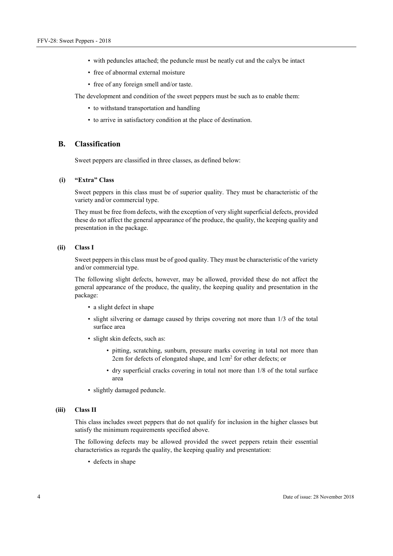- with peduncles attached; the peduncle must be neatly cut and the calyx be intact
- free of abnormal external moisture
- free of any foreign smell and/or taste.

The development and condition of the sweet peppers must be such as to enable them:

- to withstand transportation and handling
- to arrive in satisfactory condition at the place of destination.

### **B. Classification**

Sweet peppers are classified in three classes, as defined below:

#### **(i) "Extra" Class**

Sweet peppers in this class must be of superior quality. They must be characteristic of the variety and/or commercial type.

They must be free from defects, with the exception of very slight superficial defects, provided these do not affect the general appearance of the produce, the quality, the keeping quality and presentation in the package.

#### **(ii) Class I**

Sweet peppers in this class must be of good quality. They must be characteristic of the variety and/or commercial type.

The following slight defects, however, may be allowed, provided these do not affect the general appearance of the produce, the quality, the keeping quality and presentation in the package:

- a slight defect in shape
- slight silvering or damage caused by thrips covering not more than 1/3 of the total surface area
- slight skin defects, such as:
	- pitting, scratching, sunburn, pressure marks covering in total not more than 2cm for defects of elongated shape, and 1cm2 for other defects; or
	- dry superficial cracks covering in total not more than 1/8 of the total surface area
- slightly damaged peduncle.

#### **(iii) Class II**

This class includes sweet peppers that do not qualify for inclusion in the higher classes but satisfy the minimum requirements specified above.

The following defects may be allowed provided the sweet peppers retain their essential characteristics as regards the quality, the keeping quality and presentation:

• defects in shape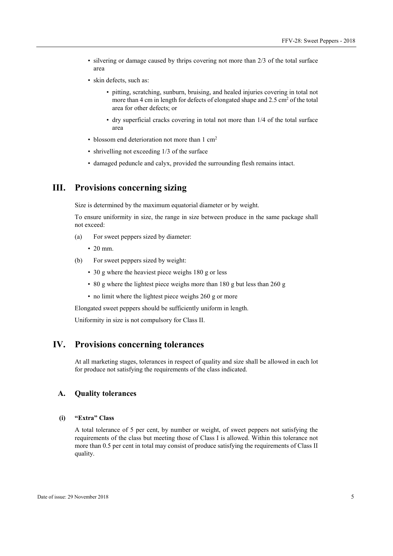- silvering or damage caused by thrips covering not more than 2/3 of the total surface area
- skin defects, such as:
	- pitting, scratching, sunburn, bruising, and healed injuries covering in total not more than 4 cm in length for defects of elongated shape and  $2.5 \text{ cm}^2$  of the total area for other defects; or
	- dry superficial cracks covering in total not more than 1/4 of the total surface area
- blossom end deterioration not more than 1 cm<sup>2</sup>
- shrivelling not exceeding 1/3 of the surface
- damaged peduncle and calyx, provided the surrounding flesh remains intact.

# **III. Provisions concerning sizing**

Size is determined by the maximum equatorial diameter or by weight.

To ensure uniformity in size, the range in size between produce in the same package shall not exceed:

- (a) For sweet peppers sized by diameter:
	- 20 mm.
- (b) For sweet peppers sized by weight:
	- 30 g where the heaviest piece weighs 180 g or less
	- 80 g where the lightest piece weighs more than 180 g but less than 260 g
	- no limit where the lightest piece weighs 260 g or more

Elongated sweet peppers should be sufficiently uniform in length.

Uniformity in size is not compulsory for Class II.

# **IV. Provisions concerning tolerances**

At all marketing stages, tolerances in respect of quality and size shall be allowed in each lot for produce not satisfying the requirements of the class indicated.

# **A. Quality tolerances**

#### **(i) "Extra" Class**

A total tolerance of 5 per cent, by number or weight, of sweet peppers not satisfying the requirements of the class but meeting those of Class I is allowed. Within this tolerance not more than 0.5 per cent in total may consist of produce satisfying the requirements of Class II quality.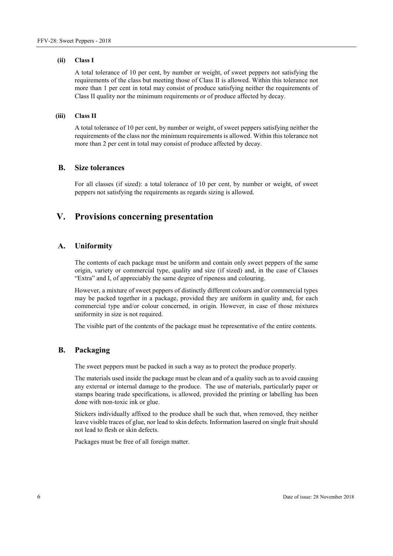#### **(ii) Class I**

A total tolerance of 10 per cent, by number or weight, of sweet peppers not satisfying the requirements of the class but meeting those of Class II is allowed. Within this tolerance not more than 1 per cent in total may consist of produce satisfying neither the requirements of Class II quality nor the minimum requirements or of produce affected by decay.

#### **(iii) Class II**

A total tolerance of 10 per cent, by number or weight, of sweet peppers satisfying neither the requirements of the class nor the minimum requirements is allowed. Within this tolerance not more than 2 per cent in total may consist of produce affected by decay.

#### **B. Size tolerances**

For all classes (if sized): a total tolerance of 10 per cent, by number or weight, of sweet peppers not satisfying the requirements as regards sizing is allowed.

# **V. Provisions concerning presentation**

#### **A. Uniformity**

The contents of each package must be uniform and contain only sweet peppers of the same origin, variety or commercial type, quality and size (if sized) and, in the case of Classes "Extra" and I, of appreciably the same degree of ripeness and colouring.

However, a mixture of sweet peppers of distinctly different colours and/or commercial types may be packed together in a package, provided they are uniform in quality and, for each commercial type and/or colour concerned, in origin. However, in case of those mixtures uniformity in size is not required.

The visible part of the contents of the package must be representative of the entire contents.

#### **B. Packaging**

The sweet peppers must be packed in such a way as to protect the produce properly.

The materials used inside the package must be clean and of a quality such as to avoid causing any external or internal damage to the produce. The use of materials, particularly paper or stamps bearing trade specifications, is allowed, provided the printing or labelling has been done with non-toxic ink or glue.

Stickers individually affixed to the produce shall be such that, when removed, they neither leave visible traces of glue, nor lead to skin defects. Information lasered on single fruit should not lead to flesh or skin defects.

Packages must be free of all foreign matter.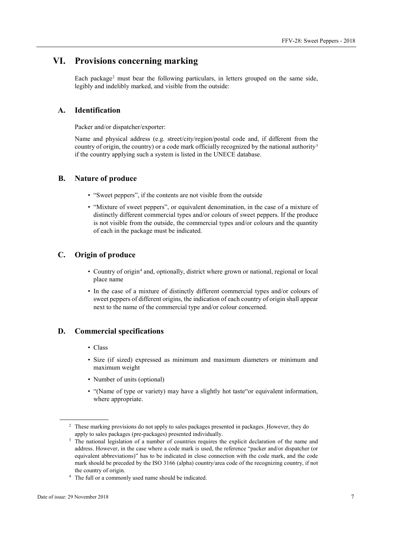# **VI. Provisions concerning marking**

Each package[2](#page-6-0) must bear the following particulars, in letters grouped on the same side, legibly and indelibly marked, and visible from the outside:

## **A. Identification**

Packer and/or dispatcher/exporter:

Name and physical address (e.g. street/city/region/postal code and, if different from the country of origin, the country) or a code mark officially recognized by the national authority<sup>[3](#page-6-1)</sup> if the country applying such a system is listed in the UNECE database.

### **B. Nature of produce**

- "Sweet peppers", if the contents are not visible from the outside
- "Mixture of sweet peppers", or equivalent denomination, in the case of a mixture of distinctly different commercial types and/or colours of sweet peppers. If the produce is not visible from the outside, the commercial types and/or colours and the quantity of each in the package must be indicated.

# **C. Origin of produce**

- Country of origin<sup>[4](#page-6-2)</sup> and, optionally, district where grown or national, regional or local place name
- In the case of a mixture of distinctly different commercial types and/or colours of sweet peppers of different origins, the indication of each country of origin shall appear next to the name of the commercial type and/or colour concerned.

# **D. Commercial specifications**

- Class
- Size (if sized) expressed as minimum and maximum diameters or minimum and maximum weight
- Number of units (optional)
- "(Name of type or variety) may have a slightly hot taste"or equivalent information, where appropriate.

<span id="page-6-2"></span><sup>4</sup> The full or a commonly used name should be indicated.

<span id="page-6-0"></span><sup>&</sup>lt;sup>2</sup> These marking provisions do not apply to sales packages presented in packages. However, they do apply to sales packages (pre-packages) presented individually.

<span id="page-6-1"></span><sup>&</sup>lt;sup>3</sup> The national legislation of a number of countries requires the explicit declaration of the name and address. However, in the case where a code mark is used, the reference "packer and/or dispatcher (or equivalent abbreviations)" has to be indicated in close connection with the code mark, and the code mark should be preceded by the ISO 3166 (alpha) country/area code of the recognizing country, if not the country of origin.